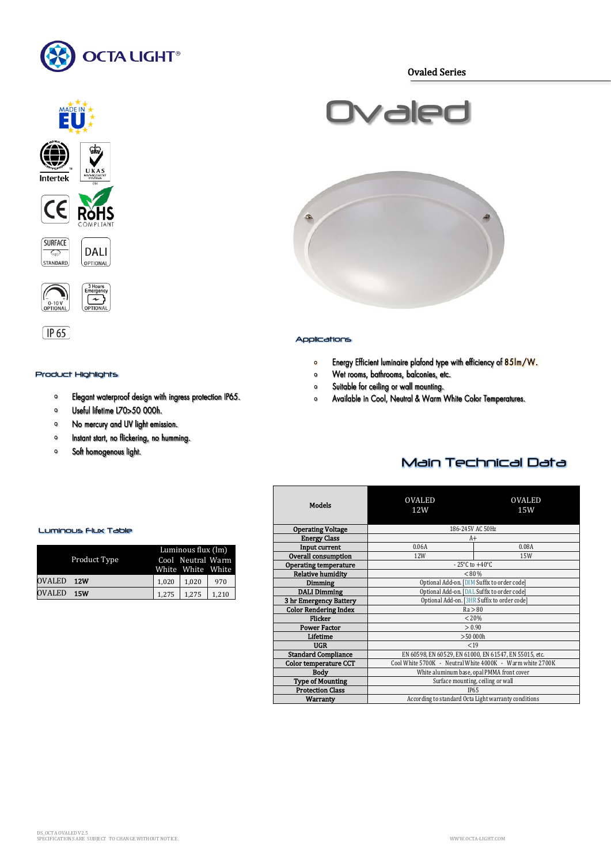

Ovaled Series

 $U\tilde{K}$ Intertek  $\epsilon$ Rŏŀ **SURFACE DALI**  $\mathcal{L}_{\mathbb{R}}$ **STANDARD** OPTIONAL





## Product Highlights

- Elegant waterproof design with ingress protection IP65.  $\bullet$
- Useful lifetime L70>50 000h.  $\bullet$
- $\bullet$ No mercury and UV light emission.
- Instant start, no flickering, no humming.  $\bullet$
- Soft homogenous light.  $\bullet$



## Applications

- Energy Efficient luminaire plafond type with efficiency of 85Im/W.  $\circ$
- Wet rooms, bathrooms, balconies, etc.  $\circ$
- Suitable for ceiling or wall mounting.  $\circ$
- Available in Cool, Neutral & Warm White Color Temperatures.  $\circ$

# Main Technical Data

| <b>Models</b>                | <b>OVALED</b>                                             | <b>OVALED</b> |  |
|------------------------------|-----------------------------------------------------------|---------------|--|
|                              | 12W                                                       | 15W           |  |
|                              |                                                           |               |  |
| <b>Operating Voltage</b>     | 186-245V AC 50Hz                                          |               |  |
| <b>Energy Class</b>          | A+                                                        |               |  |
| Input current                | 0.06A<br>0.08A                                            |               |  |
| Overall consumption          | 12W                                                       | 15W           |  |
| <b>Operating temperature</b> | $-25^{\circ}$ C to $+40^{\circ}$ C                        |               |  |
| <b>Relative humidity</b>     | < 80 %                                                    |               |  |
| <b>Dimming</b>               | Optional Add-on. [DIM Suffix to order code]               |               |  |
| <b>DALI Dimming</b>          | Optional Add-on. [DAL Suffix to order code]               |               |  |
| 3 hr Emergency Battery       | Optional Add-on. [3HR Suffix to order code]               |               |  |
| <b>Color Rendering Index</b> | Ra > 80                                                   |               |  |
| Flicker                      | < 20%                                                     |               |  |
| <b>Power Factor</b>          | > 0.90                                                    |               |  |
| Lifetime                     | >50000h                                                   |               |  |
| <b>UGR</b>                   | < 19                                                      |               |  |
| <b>Standard Compliance</b>   | EN 60598, EN 60529, EN 61000, EN 61547, EN 55015, etc.    |               |  |
| <b>Color temperature CCT</b> | Cool White 5700K - Neutral White 4000K - Warm white 2700K |               |  |
| <b>Body</b>                  | White aluminum base, opal PMMA front cover                |               |  |
| <b>Type of Mounting</b>      | Surface mounting, ceiling or wall                         |               |  |
| <b>Protection Class</b>      | <b>IP65</b>                                               |               |  |
| Warranty                     | According to standard Octa Light warranty conditions      |               |  |

## Luminous Flux Table

|                             |  | Luminous flux (lm) |                   |       |  |
|-----------------------------|--|--------------------|-------------------|-------|--|
| Product Type                |  |                    | Cool Neutral Warm |       |  |
|                             |  |                    | White White White |       |  |
| <b>OVALED</b><br><b>12W</b> |  | 1.020              | 1.020             | 970   |  |
| <b>OVALED</b><br><b>15W</b> |  | 1.275              | 1.275             | 1,210 |  |